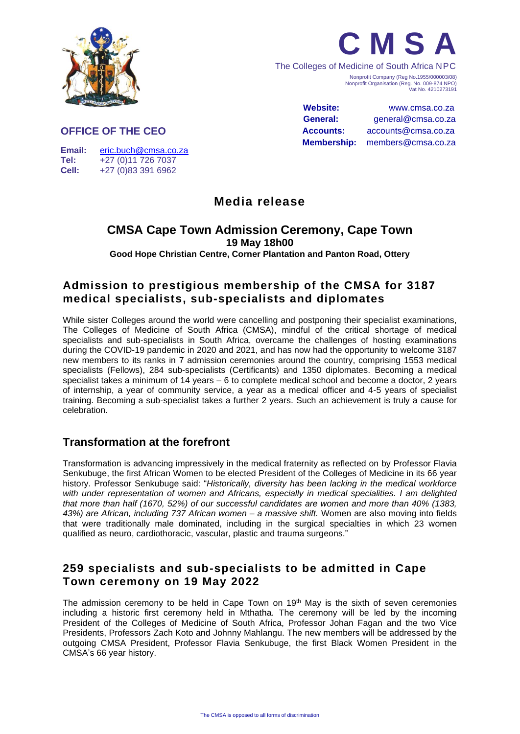



The Colleges of Medicine of South Africa NPC Nonprofit Company (Reg No.1955/000003/08) Nonprofit Organisation (Reg. No. 009-874 NPO) Vat No. 4210273191

> **Website:** www.cmsa.co.za **General:** general@cmsa.co.za **Accounts:** accounts@cmsa.co.za **Membership:** members@cmsa.co.za

#### **OFFICE OF THE CEO**

**Email:** [eric.buch@cmsa.co.za](mailto:eric.buch@cmsa.co.za) **Tel:** +27 (0)11 726 7037 **Cell:** +27 (0)83 391 6962

# **Media release**

### **CMSA Cape Town Admission Ceremony, Cape Town 19 May 18h00**

**Good Hope Christian Centre, Corner Plantation and Panton Road, Ottery**

# **Admission to prestigious membership of the CMSA for 3187 medical specialists, sub-specialists and diplomates**

While sister Colleges around the world were cancelling and postponing their specialist examinations, The Colleges of Medicine of South Africa (CMSA), mindful of the critical shortage of medical specialists and sub-specialists in South Africa, overcame the challenges of hosting examinations during the COVID-19 pandemic in 2020 and 2021, and has now had the opportunity to welcome 3187 new members to its ranks in 7 admission ceremonies around the country, comprising 1553 medical specialists (Fellows), 284 sub-specialists (Certificants) and 1350 diplomates. Becoming a medical specialist takes a minimum of 14 years – 6 to complete medical school and become a doctor, 2 years of internship, a year of community service, a year as a medical officer and 4-5 years of specialist training. Becoming a sub-specialist takes a further 2 years. Such an achievement is truly a cause for celebration.

# **Transformation at the forefront**

Transformation is advancing impressively in the medical fraternity as reflected on by Professor Flavia Senkubuge, the first African Women to be elected President of the Colleges of Medicine in its 66 year history. Professor Senkubuge said: "*Historically, diversity has been lacking in the medical workforce with under representation of women and Africans, especially in medical specialities. I am delighted that more than half (1670, 52%) of our successful candidates are women and more than 40% (1383, 43%) are African, including 737 African women – a massive shift.* Women are also moving into fields that were traditionally male dominated, including in the surgical specialties in which 23 women qualified as neuro, cardiothoracic, vascular, plastic and trauma surgeons."

## **259 specialists and sub-specialists to be admitted in Cape Town ceremony on 19 May 2022**

The admission ceremony to be held in Cape Town on 19<sup>th</sup> May is the sixth of seven ceremonies including a historic first ceremony held in Mthatha. The ceremony will be led by the incoming President of the Colleges of Medicine of South Africa, Professor Johan Fagan and the two Vice Presidents, Professors Zach Koto and Johnny Mahlangu. The new members will be addressed by the outgoing CMSA President, Professor Flavia Senkubuge, the first Black Women President in the CMSA's 66 year history.